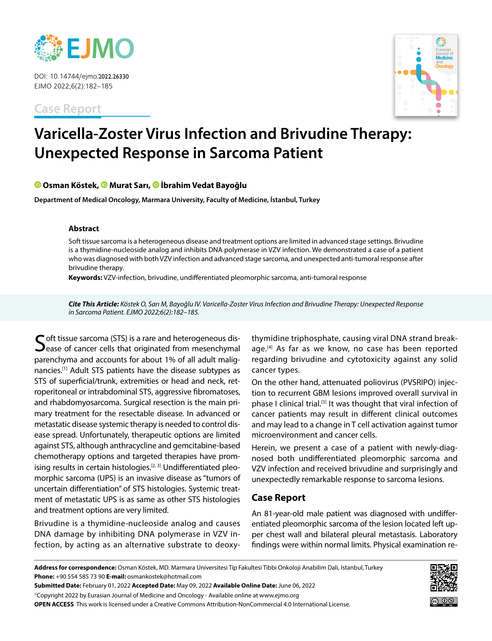

DOI: 10.14744/ejmo.2022.26330 EJMO 2022;6(2):182–185

**Case Report**



# **Varicella-Zoster Virus Infection and Brivudine Therapy: Unexpected Response in Sarcoma Patient**

## **Osman Köstek,Murat Sarı,İbrahim Vedat Bayoğlu**

**Department of Medical Oncology, Marmara University, Faculty of Medicine, İstanbul, Turkey**

#### **Abstract**

Soft tissue sarcoma is a heterogeneous disease and treatment options are limited in advanced stage settings. Brivudine is a thymidine-nucleoside analog and inhibits DNA polymerase in VZV infection. We demonstrated a case of a patient who was diagnosed with both VZV infection and advanced stage sarcoma, and unexpected anti-tumoral response after brivudine therapy.

**Keywords:** VZV-infection, brivudine, undifferentiated pleomorphic sarcoma, anti-tumoral response

*Cite This Article: Köstek O, Sarı M, Bayoğlu IV. Varicella-Zoster Virus Infection and Brivudine Therapy: Unexpected Response in Sarcoma Patient. EJMO 2022;6(2):182–185.*

 $\bigcap$  oft tissue sarcoma (STS) is a rare and heterogeneous dis- $\mathbf{\mathcal{D}}$ ease of cancer cells that originated from mesenchymal parenchyma and accounts for about 1% of all adult malignancies.[1] Adult STS patients have the disease subtypes as STS of superficial/trunk, extremities or head and neck, retroperitoneal or intrabdominal STS, aggressive fibromatoses, and rhabdomyosarcoma. Surgical resection is the main primary treatment for the resectable disease. In advanced or metastatic disease systemic therapy is needed to control disease spread. Unfortunately, therapeutic options are limited against STS, although anthracycline and gemcitabine-based chemotherapy options and targeted therapies have promising results in certain histologies.<sup>[2, 3]</sup> Undifferentiated pleomorphic sarcoma (UPS) is an invasive disease as "tumors of uncertain differentiation" of STS histologies. Systemic treatment of metastatic UPS is as same as other STS histologies and treatment options are very limited.

Brivudine is a thymidine-nucleoside analog and causes DNA damage by inhibiting DNA polymerase in VZV infection, by acting as an alternative substrate to deoxy-

thymidine triphosphate, causing viral DNA strand breakage.<sup>[4]</sup> As far as we know, no case has been reported regarding brivudine and cytotoxicity against any solid cancer types.

On the other hand, attenuated poliovirus (PVSRIPO) injection to recurrent GBM lesions improved overall survival in phase I clinical trial.[5] It was thought that viral infection of cancer patients may result in different clinical outcomes and may lead to a change in T cell activation against tumor microenvironment and cancer cells.

Herein, we present a case of a patient with newly-diagnosed both undifferentiated pleomorphic sarcoma and VZV infection and received brivudine and surprisingly and unexpectedly remarkable response to sarcoma lesions.

# **Case Report**

An 81-year-old male patient was diagnosed with undifferentiated pleomorphic sarcoma of the lesion located left upper chest wall and bilateral pleural metastasis. Laboratory findings were within normal limits. Physical examination re-

**Address for correspondence:** Osman Köstek, MD. Marmara Universitesi Tip Fakultesi Tibbi Onkoloji Anabilim Dali, Istanbul, Turkey **Phone:** +90 554 585 73 90 **E-mail:** osmankostek@hotmail.com

**Submitted Date:** February 01, 2022 **Accepted Date:** May 09, 2022 **Available Online Date:** June 06, 2022

©Copyright 2022 by Eurasian Journal of Medicine and Oncology - Available online at www.ejmo.org

**OPEN ACCESS** This work is licensed under a Creative Commons Attribution-NonCommercial 4.0 International License.

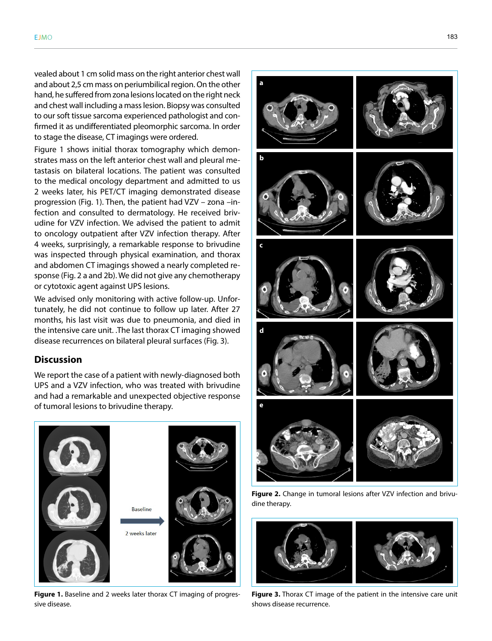vealed about 1 cm solid mass on the right anterior chest wall and about 2,5 cm mass on periumbilical region. On the other hand, he suffered from zona lesions located on the right neck and chest wall including a mass lesion. Biopsy was consulted to our soft tissue sarcoma experienced pathologist and confirmed it as undifferentiated pleomorphic sarcoma. In order to stage the disease, CT imagings were ordered.

Figure 1 shows initial thorax tomography which demonstrates mass on the left anterior chest wall and pleural metastasis on bilateral locations. The patient was consulted to the medical oncology department and admitted to us 2 weeks later, his PET/CT imaging demonstrated disease progression (Fig. 1). Then, the patient had VZV – zona –infection and consulted to dermatology. He received brivudine for VZV infection. We advised the patient to admit to oncology outpatient after VZV infection therapy. After 4 weeks, surprisingly, a remarkable response to brivudine was inspected through physical examination, and thorax and abdomen CT imagings showed a nearly completed response (Fig. 2 a and 2b). We did not give any chemotherapy or cytotoxic agent against UPS lesions.

We advised only monitoring with active follow-up. Unfortunately, he did not continue to follow up later. After 27 months, his last visit was due to pneumonia, and died in the intensive care unit. .The last thorax CT imaging showed disease recurrences on bilateral pleural surfaces (Fig. 3).

# **Discussion**

We report the case of a patient with newly-diagnosed both UPS and a VZV infection, who was treated with brivudine and had a remarkable and unexpected objective response of tumoral lesions to brivudine therapy.



**Figure 1.** Baseline and 2 weeks later thorax CT imaging of progressive disease.



**Figure 2.** Change in tumoral lesions after VZV infection and brivudine therapy.



**Figure 3.** Thorax CT image of the patient in the intensive care unit shows disease recurrence.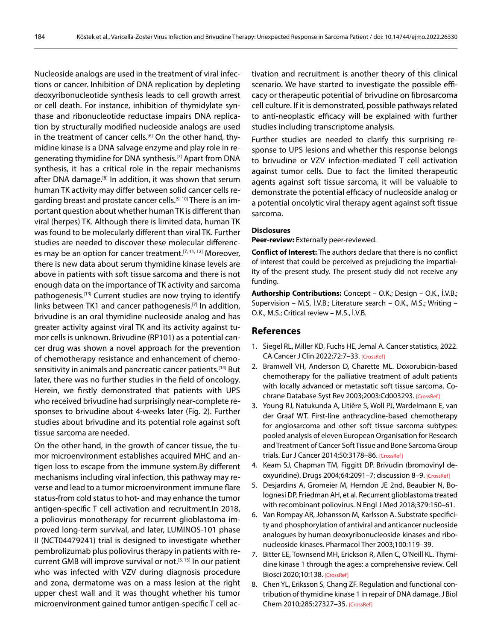Nucleoside analogs are used in the treatment of viral infections or cancer. Inhibition of DNA replication by depleting deoxyribonucleotide synthesis leads to cell growth arrest or cell death. For instance, inhibition of thymidylate synthase and ribonucleotide reductase impairs DNA replication by structurally modified nucleoside analogs are used in the treatment of cancer cells.<sup>[6]</sup> On the other hand, thymidine kinase is a DNA salvage enzyme and play role in regenerating thymidine for DNA synthesis.<sup>[7]</sup> Apart from DNA synthesis, it has a critical role in the repair mechanisms after DNA damage.<sup>[8]</sup> In addition, it was shown that serum human TK activity may differ between solid cancer cells regarding breast and prostate cancer cells.<sup>[9, 10]</sup> There is an important question about whether human TK is different than viral (herpes) TK. Although there is limited data, human TK was found to be molecularly different than viral TK. Further studies are needed to discover these molecular differences may be an option for cancer treatment.<sup>[7, 11, 12]</sup> Moreover, there is new data about serum thymidine kinase levels are above in patients with soft tissue sarcoma and there is not enough data on the importance of TK activity and sarcoma pathogenesis.<sup>[13]</sup> Current studies are now trying to identify links between TK1 and cancer pathogenesis.<sup>[7]</sup> In addition, brivudine is an oral thymidine nucleoside analog and has greater activity against viral TK and its activity against tumor cells is unknown. Brivudine (RP101) as a potential cancer drug was shown a novel approach for the prevention of chemotherapy resistance and enhancement of chemosensitivity in animals and pancreatic cancer patients.[14] But later, there was no further studies in the field of oncology. Herein, we firstly demonstrated that patients with UPS who received brivudine had surprisingly near-complete responses to brivudine about 4-weeks later (Fig. 2). Further studies about brivudine and its potential role against soft tissue sarcoma are needed.

On the other hand, in the growth of cancer tissue, the tumor microenvironment establishes acquired MHC and antigen loss to escape from the immune system.By different mechanisms including viral infection, this pathway may reverse and lead to a tumor microenvironment immune flare status-from cold status to hot- and may enhance the tumor antigen-specific T cell activation and recruitment.In 2018, a poliovirus monotherapy for recurrent glioblastoma improved long-term survival, and later, LUMINOS-101 phase II (NCT04479241) trial is designed to investigate whether pembrolizumab plus poliovirus therapy in patients with recurrent GMB will improve survival or not.<sup>[5, 15]</sup> In our patient who was infected with VZV during diagnosis procedure and zona, dermatome was on a mass lesion at the right upper chest wall and it was thought whether his tumor microenvironment gained tumor antigen-specific T cell ac-

tivation and recruitment is another theory of this clinical scenario. We have started to investigate the possible efficacy or therapeutic potential of brivudine on fibrosarcoma cell culture. If it is demonstrated, possible pathways related to anti-neoplastic efficacy will be explained with further studies including transcriptome analysis.

Further studies are needed to clarify this surprising response to UPS lesions and whether this response belongs to brivudine or VZV infection-mediated T cell activation against tumor cells. Due to fact the limited therapeutic agents against soft tissue sarcoma, it will be valuable to demonstrate the potential efficacy of nucleoside analog or a potential oncolytic viral therapy agent against soft tissue sarcoma.

#### **Disclosures**

**Peer-review:** Externally peer-reviewed.

**Conflict of Interest:** The authors declare that there is no conflict of interest that could be perceived as prejudicing the impartiality of the present study. The present study did not receive any funding.

**Authorship Contributions:** Concept – O.K.; Design – O.K., İ.V.B.; Supervision – M.S, İ.V.B.; Literature search – O.K., M.S.; Writing – O.K., M.S.; Critical review – M.S., İ.V.B.

## **References**

- 1. Siegel RL, Miller KD, Fuchs HE, Jemal A. Cancer statistics, 2022. CA Cancer J Clin 2022;72:7–33. [CrossRef]
- 2. Bramwell VH, Anderson D, Charette ML. Doxorubicin-based chemotherapy for the palliative treatment of adult patients with locally advanced or metastatic soft tissue sarcoma. Cochrane Database Syst Rev 2003;2003:Cd003293. [CrossRef]
- 3. Young RJ, Natukunda A, Litière S, Woll PJ, Wardelmann E, van der Graaf WT. First-line anthracycline-based chemotherapy for angiosarcoma and other soft tissue sarcoma subtypes: pooled analysis of eleven European Organisation for Research and Treatment of Cancer Soft Tissue and Bone Sarcoma Group trials. Eur J Cancer 2014;50:3178–86. [CrossRef]
- 4. Keam SJ, Chapman TM, Figgitt DP. Brivudin (bromovinyl deoxyuridine). Drugs 2004;64:2091–7; discussion 8–9. [CrossRef]
- 5. Desjardins A, Gromeier M, Herndon JE 2nd, Beaubier N, Bolognesi DP, Friedman AH, et al. Recurrent glioblastoma treated with recombinant poliovirus. N Engl J Med 2018;379:150–61.
- 6. Van Rompay AR, Johansson M, Karlsson A. Substrate specificity and phosphorylation of antiviral and anticancer nucleoside analogues by human deoxyribonucleoside kinases and ribonucleoside kinases. Pharmacol Ther 2003;100:119–39.
- 7. Bitter EE, Townsend MH, Erickson R, Allen C, O'Neill KL. Thymidine kinase 1 through the ages: a comprehensive review. Cell Biosci 2020;10:138. [CrossRef]
- 8. Chen YL, Eriksson S, Chang ZF. Regulation and functional contribution of thymidine kinase 1 in repair of DNA damage. J Biol Chem 2010;285:27327–35. [CrossRef]